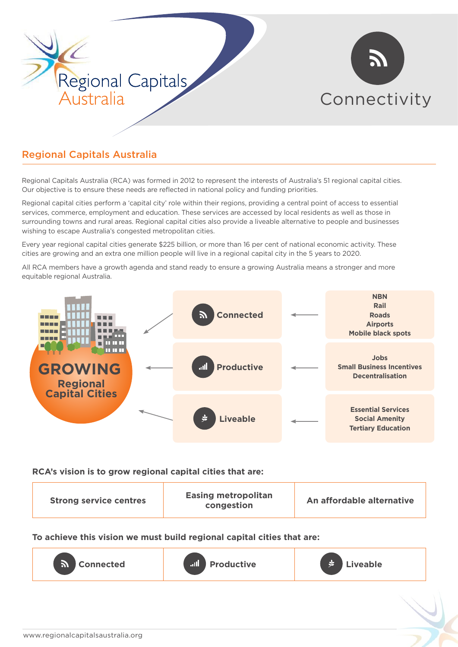



# Regional Capitals Australia

Regional Capitals Australia (RCA) was formed in 2012 to represent the interests of Australia's 51 regional capital cities. Our objective is to ensure these needs are reflected in national policy and funding priorities.

Regional capital cities perform a 'capital city' role within their regions, providing a central point of access to essential services, commerce, employment and education. These services are accessed by local residents as well as those in surrounding towns and rural areas. Regional capital cities also provide a liveable alternative to people and businesses wishing to escape Australia's congested metropolitan cities.

Every year regional capital cities generate \$225 billion, or more than 16 per cent of national economic activity. These cities are growing and an extra one million people will live in a regional capital city in the 5 years to 2020.

All RCA members have a growth agenda and stand ready to ensure a growing Australia means a stronger and more equitable regional Australia.



#### **RCA's vision is to grow regional capital cities that are:**

**To achieve this vision we must build regional capital cities that are:**

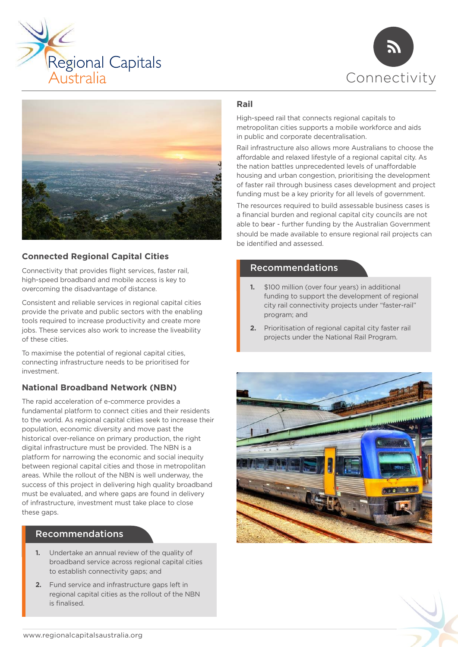





# **Connected Regional Capital Cities**

Connectivity that provides flight services, faster rail, high-speed broadband and mobile access is key to overcoming the disadvantage of distance.

Consistent and reliable services in regional capital cities provide the private and public sectors with the enabling tools required to increase productivity and create more jobs. These services also work to increase the liveability of these cities.

To maximise the potential of regional capital cities, connecting infrastructure needs to be prioritised for investment.

## **National Broadband Network (NBN)**

The rapid acceleration of e-commerce provides a fundamental platform to connect cities and their residents to the world. As regional capital cities seek to increase their population, economic diversity and move past the historical over-reliance on primary production, the right digital infrastructure must be provided. The NBN is a platform for narrowing the economic and social inequity between regional capital cities and those in metropolitan areas. While the rollout of the NBN is well underway, the success of this project in delivering high quality broadband must be evaluated, and where gaps are found in delivery of infrastructure, investment must take place to close these gaps.

# Recommendations

- **1.** Undertake an annual review of the quality of broadband service across regional capital cities to establish connectivity gaps; and
- **2.** Fund service and infrastructure gaps left in regional capital cities as the rollout of the NBN is finalised.

#### **Rail**

High-speed rail that connects regional capitals to metropolitan cities supports a mobile workforce and aids in public and corporate decentralisation.

Rail infrastructure also allows more Australians to choose the affordable and relaxed lifestyle of a regional capital city. As the nation battles unprecedented levels of unaffordable housing and urban congestion, prioritising the development of faster rail through business cases development and project funding must be a key priority for all levels of government.

The resources required to build assessable business cases is a financial burden and regional capital city councils are not able to bear - further funding by the Australian Government should be made available to ensure regional rail projects can be identified and assessed.

## Recommendations

- **1.** \$100 million (over four years) in additional funding to support the development of regional city rail connectivity projects under "faster-rail" program; and
- **2.** Prioritisation of regional capital city faster rail projects under the National Rail Program.